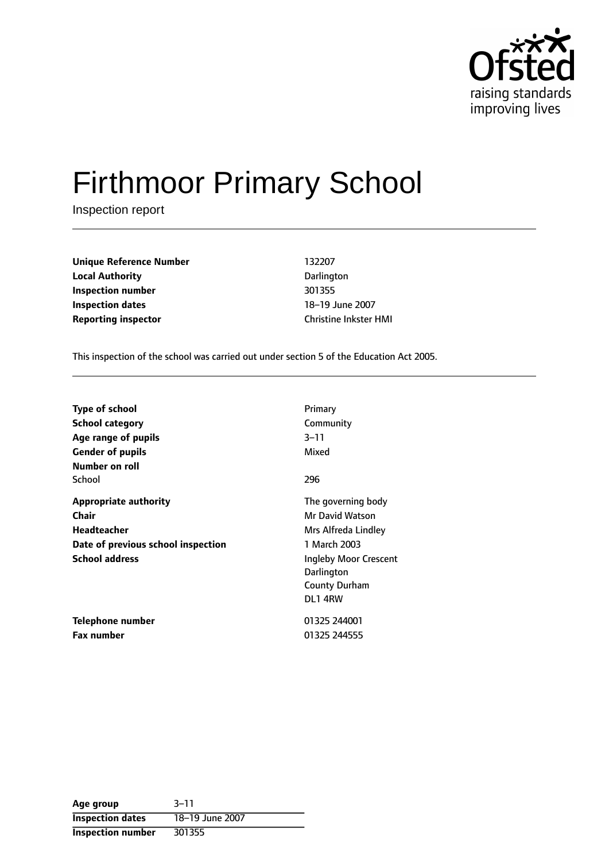

# Firthmoor Primary School

Inspection report

| <b>Unique Reference Number</b> | 132207                       |
|--------------------------------|------------------------------|
| <b>Local Authority</b>         | Darlington                   |
| Inspection number              | 301355                       |
| <b>Inspection dates</b>        | 18-19 June 2007              |
| <b>Reporting inspector</b>     | <b>Christine Inkster HMI</b> |

This inspection of the school was carried out under section 5 of the Education Act 2005.

| <b>Type of school</b><br><b>School category</b> | Primary<br>Community  |
|-------------------------------------------------|-----------------------|
| Age range of pupils                             | $3 - 11$              |
| <b>Gender of pupils</b>                         | Mixed                 |
| Number on roll                                  |                       |
| School                                          | 296                   |
| <b>Appropriate authority</b>                    | The governing body    |
| Chair                                           | Mr David Watson       |
| Headteacher                                     | Mrs Alfreda Lindley   |
| Date of previous school inspection              | 1 March 2003          |
| <b>School address</b>                           | Ingleby Moor Crescent |
|                                                 | Darlington            |
|                                                 | <b>County Durham</b>  |
|                                                 | DL1 4RW               |
| Telephone number                                | 01325 244001          |
| <b>Fax number</b>                               | 01325 244555          |

| Age group                | $3 - 11$        |
|--------------------------|-----------------|
| <b>Inspection dates</b>  | 18-19 June 2007 |
| <b>Inspection number</b> | 301355          |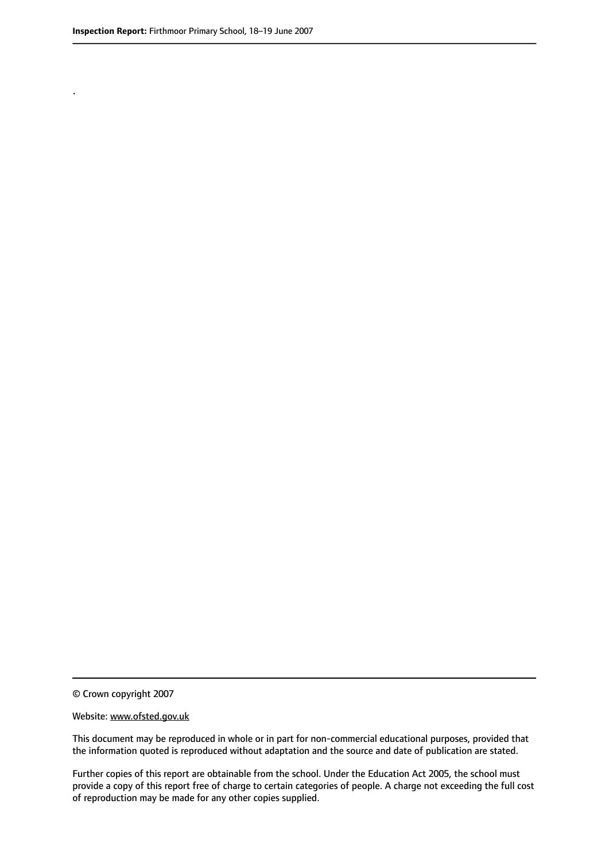.

© Crown copyright 2007

#### Website: www.ofsted.gov.uk

This document may be reproduced in whole or in part for non-commercial educational purposes, provided that the information quoted is reproduced without adaptation and the source and date of publication are stated.

Further copies of this report are obtainable from the school. Under the Education Act 2005, the school must provide a copy of this report free of charge to certain categories of people. A charge not exceeding the full cost of reproduction may be made for any other copies supplied.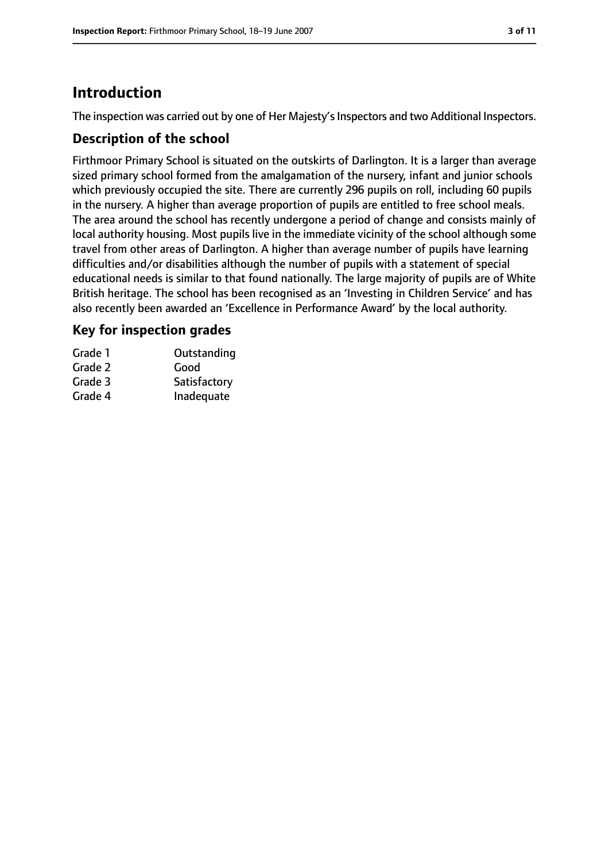# **Introduction**

The inspection was carried out by one of Her Majesty's Inspectors and two Additional Inspectors.

## **Description of the school**

Firthmoor Primary School is situated on the outskirts of Darlington. It is a larger than average sized primary school formed from the amalgamation of the nursery, infant and junior schools which previously occupied the site. There are currently 296 pupils on roll, including 60 pupils in the nursery. A higher than average proportion of pupils are entitled to free school meals. The area around the school has recently undergone a period of change and consists mainly of local authority housing. Most pupils live in the immediate vicinity of the school although some travel from other areas of Darlington. A higher than average number of pupils have learning difficulties and/or disabilities although the number of pupils with a statement of special educational needs is similar to that found nationally. The large majority of pupils are of White British heritage. The school has been recognised as an 'Investing in Children Service' and has also recently been awarded an 'Excellence in Performance Award' by the local authority.

# **Key for inspection grades**

| Grade 1 | Outstanding  |
|---------|--------------|
| Grade 2 | Good         |
| Grade 3 | Satisfactory |
| Grade 4 | Inadequate   |
|         |              |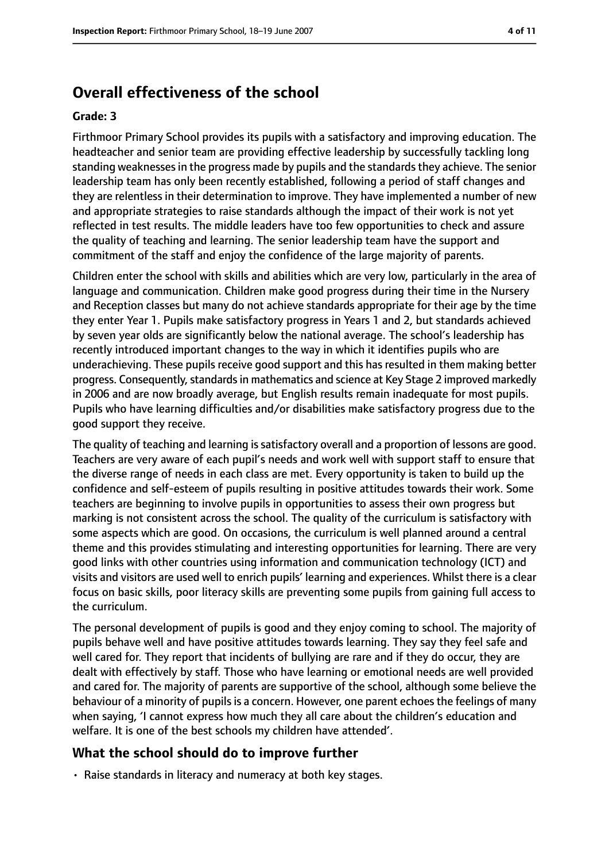# **Overall effectiveness of the school**

#### **Grade: 3**

Firthmoor Primary School provides its pupils with a satisfactory and improving education. The headteacher and senior team are providing effective leadership by successfully tackling long standing weaknessesin the progress made by pupils and the standardsthey achieve. The senior leadership team has only been recently established, following a period of staff changes and they are relentless in their determination to improve. They have implemented a number of new and appropriate strategies to raise standards although the impact of their work is not yet reflected in test results. The middle leaders have too few opportunities to check and assure the quality of teaching and learning. The senior leadership team have the support and commitment of the staff and enjoy the confidence of the large majority of parents.

Children enter the school with skills and abilities which are very low, particularly in the area of language and communication. Children make good progress during their time in the Nursery and Reception classes but many do not achieve standards appropriate for their age by the time they enter Year 1. Pupils make satisfactory progress in Years 1 and 2, but standards achieved by seven year olds are significantly below the national average. The school's leadership has recently introduced important changes to the way in which it identifies pupils who are underachieving. These pupils receive good support and this has resulted in them making better progress. Consequently, standards in mathematics and science at Key Stage 2 improved markedly in 2006 and are now broadly average, but English results remain inadequate for most pupils. Pupils who have learning difficulties and/or disabilities make satisfactory progress due to the good support they receive.

The quality of teaching and learning is satisfactory overall and a proportion of lessons are good. Teachers are very aware of each pupil's needs and work well with support staff to ensure that the diverse range of needs in each class are met. Every opportunity is taken to build up the confidence and self-esteem of pupils resulting in positive attitudes towards their work. Some teachers are beginning to involve pupils in opportunities to assess their own progress but marking is not consistent across the school. The quality of the curriculum is satisfactory with some aspects which are good. On occasions, the curriculum is well planned around a central theme and this provides stimulating and interesting opportunities for learning. There are very good links with other countries using information and communication technology (ICT) and visits and visitors are used well to enrich pupils' learning and experiences. Whilst there is a clear focus on basic skills, poor literacy skills are preventing some pupils from gaining full access to the curriculum.

The personal development of pupils is good and they enjoy coming to school. The majority of pupils behave well and have positive attitudes towards learning. They say they feel safe and well cared for. They report that incidents of bullying are rare and if they do occur, they are dealt with effectively by staff. Those who have learning or emotional needs are well provided and cared for. The majority of parents are supportive of the school, although some believe the behaviour of a minority of pupils is a concern. However, one parent echoes the feelings of many when saying, 'I cannot express how much they all care about the children's education and welfare. It is one of the best schools my children have attended'.

#### **What the school should do to improve further**

• Raise standards in literacy and numeracy at both key stages.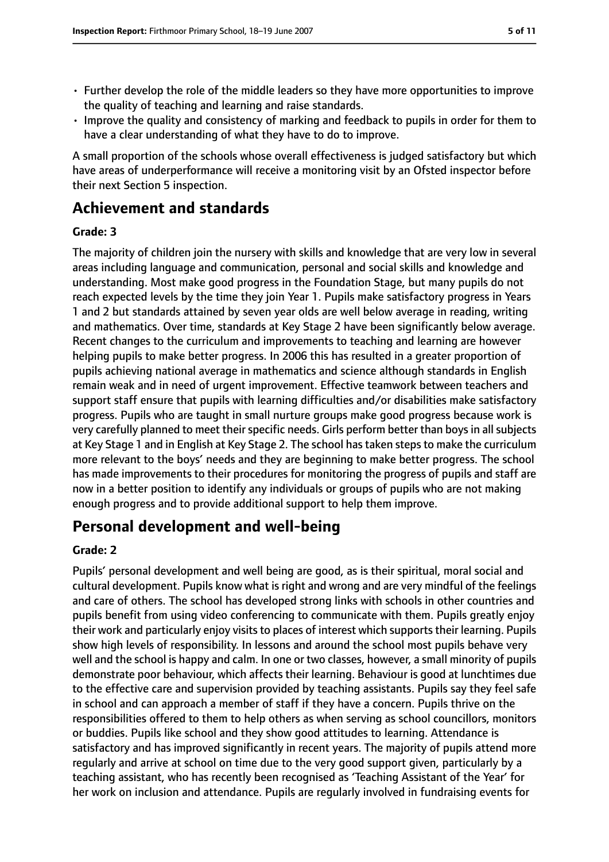- Further develop the role of the middle leaders so they have more opportunities to improve the quality of teaching and learning and raise standards.
- Improve the quality and consistency of marking and feedback to pupils in order for them to have a clear understanding of what they have to do to improve.

A small proportion of the schools whose overall effectiveness is judged satisfactory but which have areas of underperformance will receive a monitoring visit by an Ofsted inspector before their next Section 5 inspection.

# **Achievement and standards**

## **Grade: 3**

The majority of children join the nursery with skills and knowledge that are very low in several areas including language and communication, personal and social skills and knowledge and understanding. Most make good progress in the Foundation Stage, but many pupils do not reach expected levels by the time they join Year 1. Pupils make satisfactory progress in Years 1 and 2 but standards attained by seven year olds are well below average in reading, writing and mathematics. Over time, standards at Key Stage 2 have been significantly below average. Recent changes to the curriculum and improvements to teaching and learning are however helping pupils to make better progress. In 2006 this has resulted in a greater proportion of pupils achieving national average in mathematics and science although standards in English remain weak and in need of urgent improvement. Effective teamwork between teachers and support staff ensure that pupils with learning difficulties and/or disabilities make satisfactory progress. Pupils who are taught in small nurture groups make good progress because work is very carefully planned to meet their specific needs. Girls perform better than boys in all subjects at Key Stage 1 and in English at Key Stage 2. The school has taken steps to make the curriculum more relevant to the boys' needs and they are beginning to make better progress. The school has made improvements to their procedures for monitoring the progress of pupils and staff are now in a better position to identify any individuals or groups of pupils who are not making enough progress and to provide additional support to help them improve.

# **Personal development and well-being**

## **Grade: 2**

Pupils' personal development and well being are good, as is their spiritual, moral social and cultural development. Pupils know what is right and wrong and are very mindful of the feelings and care of others. The school has developed strong links with schools in other countries and pupils benefit from using video conferencing to communicate with them. Pupils greatly enjoy their work and particularly enjoy visits to places of interest which supports their learning. Pupils show high levels of responsibility. In lessons and around the school most pupils behave very well and the school is happy and calm. In one or two classes, however, a small minority of pupils demonstrate poor behaviour, which affects their learning. Behaviour is good at lunchtimes due to the effective care and supervision provided by teaching assistants. Pupils say they feel safe in school and can approach a member of staff if they have a concern. Pupils thrive on the responsibilities offered to them to help others as when serving as school councillors, monitors or buddies. Pupils like school and they show good attitudes to learning. Attendance is satisfactory and has improved significantly in recent years. The majority of pupils attend more regularly and arrive at school on time due to the very good support given, particularly by a teaching assistant, who has recently been recognised as 'Teaching Assistant of the Year' for her work on inclusion and attendance. Pupils are regularly involved in fundraising events for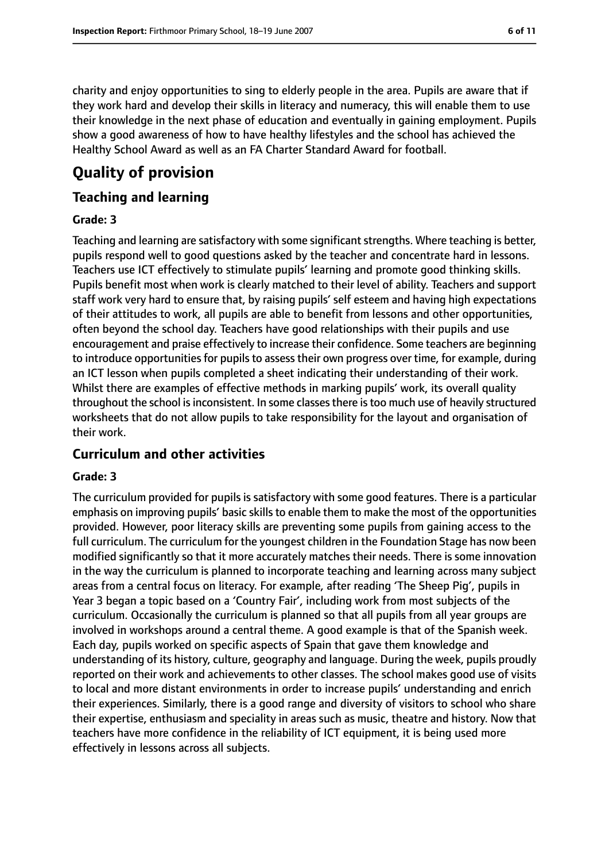charity and enjoy opportunities to sing to elderly people in the area. Pupils are aware that if they work hard and develop their skills in literacy and numeracy, this will enable them to use their knowledge in the next phase of education and eventually in gaining employment. Pupils show a good awareness of how to have healthy lifestyles and the school has achieved the Healthy School Award as well as an FA Charter Standard Award for football.

# **Quality of provision**

## **Teaching and learning**

#### **Grade: 3**

Teaching and learning are satisfactory with some significant strengths. Where teaching is better, pupils respond well to good questions asked by the teacher and concentrate hard in lessons. Teachers use ICT effectively to stimulate pupils' learning and promote good thinking skills. Pupils benefit most when work is clearly matched to their level of ability. Teachers and support staff work very hard to ensure that, by raising pupils' self esteem and having high expectations of their attitudes to work, all pupils are able to benefit from lessons and other opportunities, often beyond the school day. Teachers have good relationships with their pupils and use encouragement and praise effectively to increase their confidence. Some teachers are beginning to introduce opportunities for pupils to assess their own progress over time, for example, during an ICT lesson when pupils completed a sheet indicating their understanding of their work. Whilst there are examples of effective methods in marking pupils' work, its overall quality throughout the school is inconsistent. In some classes there is too much use of heavily structured worksheets that do not allow pupils to take responsibility for the layout and organisation of their work.

## **Curriculum and other activities**

#### **Grade: 3**

The curriculum provided for pupils is satisfactory with some good features. There is a particular emphasis on improving pupils' basic skills to enable them to make the most of the opportunities provided. However, poor literacy skills are preventing some pupils from gaining access to the full curriculum. The curriculum for the youngest children in the Foundation Stage has now been modified significantly so that it more accurately matches their needs. There is some innovation in the way the curriculum is planned to incorporate teaching and learning across many subject areas from a central focus on literacy. For example, after reading 'The Sheep Pig', pupils in Year 3 began a topic based on a 'Country Fair', including work from most subjects of the curriculum. Occasionally the curriculum is planned so that all pupils from all year groups are involved in workshops around a central theme. A good example is that of the Spanish week. Each day, pupils worked on specific aspects of Spain that gave them knowledge and understanding of its history, culture, geography and language. During the week, pupils proudly reported on their work and achievements to other classes. The school makes good use of visits to local and more distant environments in order to increase pupils' understanding and enrich their experiences. Similarly, there is a good range and diversity of visitors to school who share their expertise, enthusiasm and speciality in areas such as music, theatre and history. Now that teachers have more confidence in the reliability of ICT equipment, it is being used more effectively in lessons across all subjects.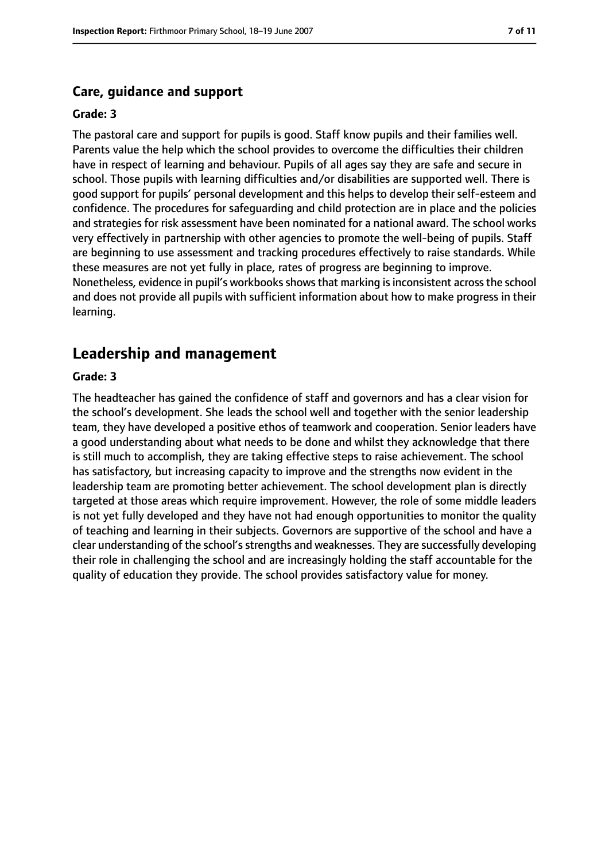#### **Care, guidance and support**

#### **Grade: 3**

The pastoral care and support for pupils is good. Staff know pupils and their families well. Parents value the help which the school provides to overcome the difficulties their children have in respect of learning and behaviour. Pupils of all ages say they are safe and secure in school. Those pupils with learning difficulties and/or disabilities are supported well. There is good support for pupils' personal development and this helps to develop their self-esteem and confidence. The procedures for safeguarding and child protection are in place and the policies and strategies for risk assessment have been nominated for a national award. The school works very effectively in partnership with other agencies to promote the well-being of pupils. Staff are beginning to use assessment and tracking procedures effectively to raise standards. While these measures are not yet fully in place, rates of progress are beginning to improve. Nonetheless, evidence in pupil's workbooks shows that marking is inconsistent across the school and does not provide all pupils with sufficient information about how to make progress in their learning.

## **Leadership and management**

#### **Grade: 3**

The headteacher has gained the confidence of staff and governors and has a clear vision for the school's development. She leads the school well and together with the senior leadership team, they have developed a positive ethos of teamwork and cooperation. Senior leaders have a good understanding about what needs to be done and whilst they acknowledge that there is still much to accomplish, they are taking effective steps to raise achievement. The school has satisfactory, but increasing capacity to improve and the strengths now evident in the leadership team are promoting better achievement. The school development plan is directly targeted at those areas which require improvement. However, the role of some middle leaders is not yet fully developed and they have not had enough opportunities to monitor the quality of teaching and learning in their subjects. Governors are supportive of the school and have a clear understanding of the school's strengths and weaknesses. They are successfully developing their role in challenging the school and are increasingly holding the staff accountable for the quality of education they provide. The school provides satisfactory value for money.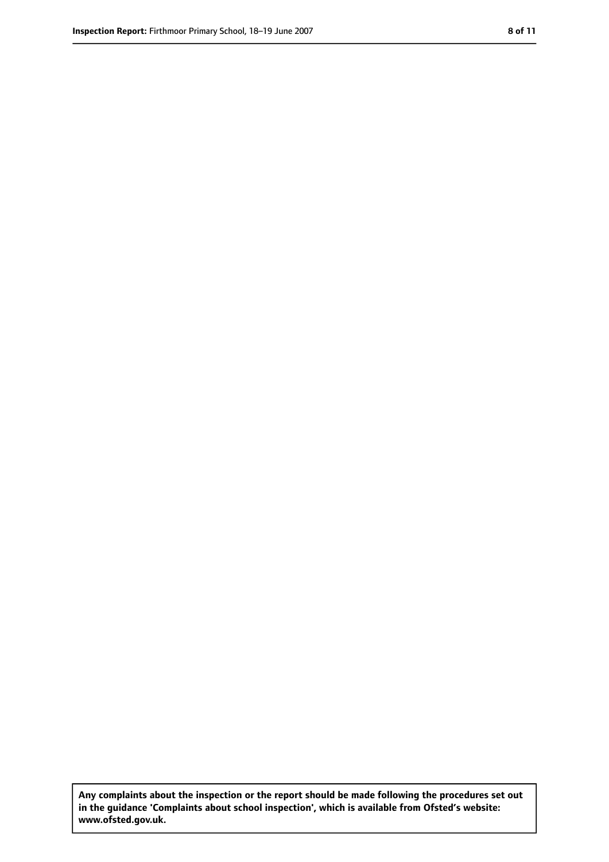**Any complaints about the inspection or the report should be made following the procedures set out in the guidance 'Complaints about school inspection', which is available from Ofsted's website: www.ofsted.gov.uk.**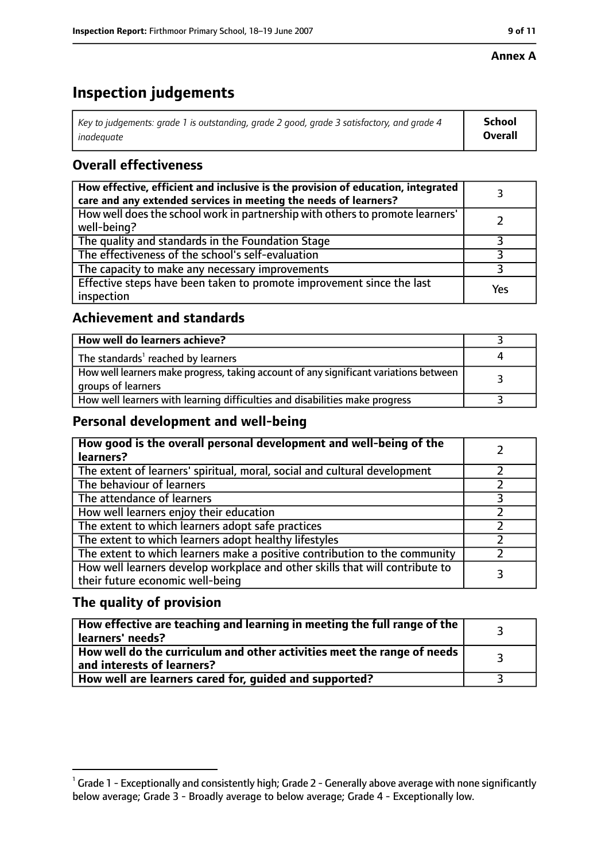#### **Annex A**

# **Inspection judgements**

| Key to judgements: grade 1 is outstanding, grade 2 good, grade 3 satisfactory, and grade 4 $\,$ | <b>School</b>  |
|-------------------------------------------------------------------------------------------------|----------------|
| inadequate                                                                                      | <b>Overall</b> |

# **Overall effectiveness**

| How effective, efficient and inclusive is the provision of education, integrated<br>care and any extended services in meeting the needs of learners? |     |
|------------------------------------------------------------------------------------------------------------------------------------------------------|-----|
| How well does the school work in partnership with others to promote learners'<br>well-being?                                                         |     |
| The quality and standards in the Foundation Stage                                                                                                    |     |
| The effectiveness of the school's self-evaluation                                                                                                    |     |
| The capacity to make any necessary improvements                                                                                                      |     |
| Effective steps have been taken to promote improvement since the last<br>inspection                                                                  | Yes |

# **Achievement and standards**

| How well do learners achieve?                                                                               |  |
|-------------------------------------------------------------------------------------------------------------|--|
| The standards <sup>1</sup> reached by learners                                                              |  |
| How well learners make progress, taking account of any significant variations between<br>groups of learners |  |
| How well learners with learning difficulties and disabilities make progress                                 |  |

# **Personal development and well-being**

| How good is the overall personal development and well-being of the<br>learners?                                  |  |
|------------------------------------------------------------------------------------------------------------------|--|
| The extent of learners' spiritual, moral, social and cultural development                                        |  |
| The behaviour of learners                                                                                        |  |
| The attendance of learners                                                                                       |  |
| How well learners enjoy their education                                                                          |  |
| The extent to which learners adopt safe practices                                                                |  |
| The extent to which learners adopt healthy lifestyles                                                            |  |
| The extent to which learners make a positive contribution to the community                                       |  |
| How well learners develop workplace and other skills that will contribute to<br>their future economic well-being |  |

# **The quality of provision**

| How effective are teaching and learning in meeting the full range of the<br>learners' needs?          |  |
|-------------------------------------------------------------------------------------------------------|--|
| How well do the curriculum and other activities meet the range of needs<br>and interests of learners? |  |
| How well are learners cared for, guided and supported?                                                |  |

 $^1$  Grade 1 - Exceptionally and consistently high; Grade 2 - Generally above average with none significantly below average; Grade 3 - Broadly average to below average; Grade 4 - Exceptionally low.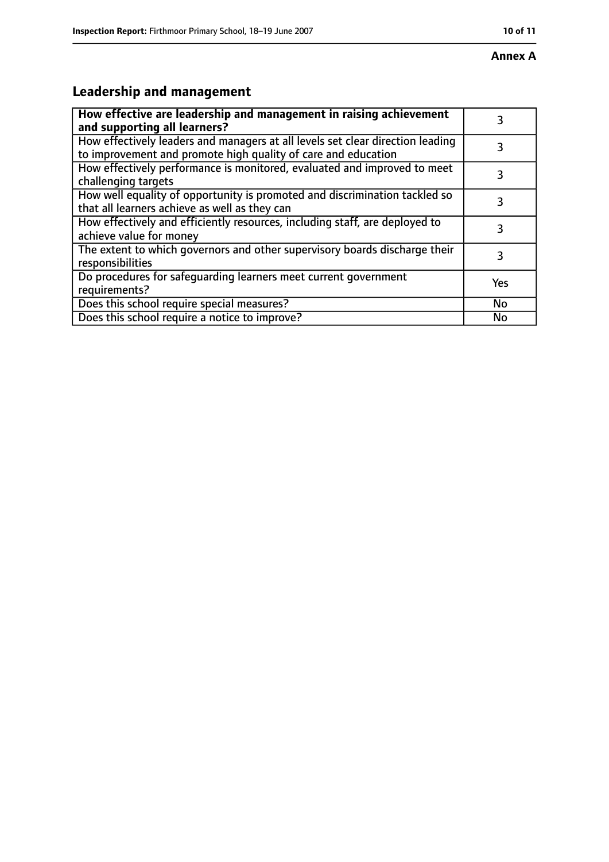# **Leadership and management**

| How effective are leadership and management in raising achievement<br>and supporting all learners?                                              | 3   |
|-------------------------------------------------------------------------------------------------------------------------------------------------|-----|
| How effectively leaders and managers at all levels set clear direction leading<br>to improvement and promote high quality of care and education |     |
| How effectively performance is monitored, evaluated and improved to meet<br>challenging targets                                                 | 3   |
| How well equality of opportunity is promoted and discrimination tackled so<br>that all learners achieve as well as they can                     | 3   |
| How effectively and efficiently resources, including staff, are deployed to<br>achieve value for money                                          | 3   |
| The extent to which governors and other supervisory boards discharge their<br>responsibilities                                                  | 3   |
| Do procedures for safequarding learners meet current government<br>requirements?                                                                | Yes |
| Does this school require special measures?                                                                                                      | No  |
| Does this school require a notice to improve?                                                                                                   | No  |